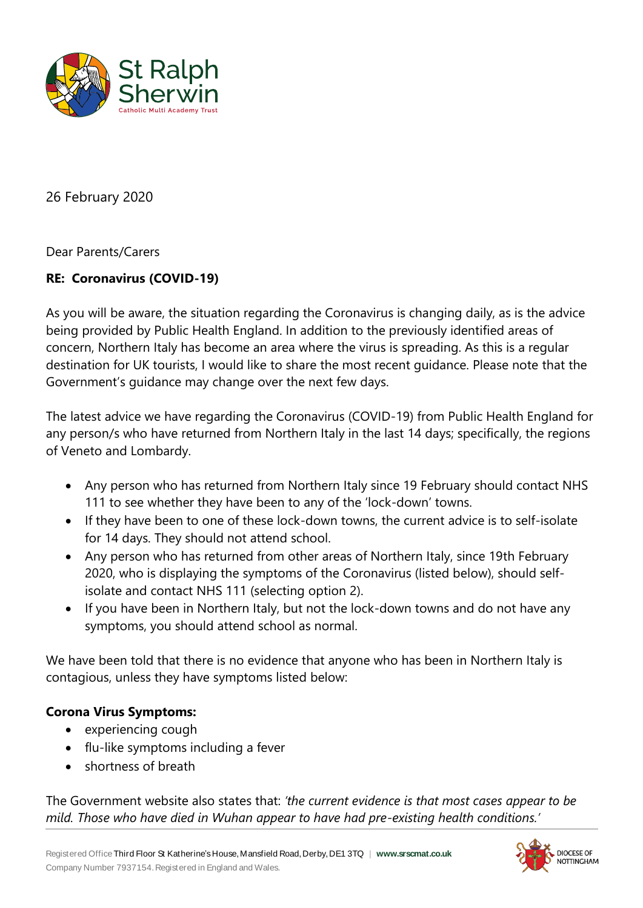

26 February 2020

Dear Parents/Carers

## **RE: Coronavirus (COVID-19)**

As you will be aware, the situation regarding the Coronavirus is changing daily, as is the advice being provided by Public Health England. In addition to the previously identified areas of concern, Northern Italy has become an area where the virus is spreading. As this is a regular destination for UK tourists, I would like to share the most recent guidance. Please note that the Government's guidance may change over the next few days.

The latest advice we have regarding the Coronavirus (COVID-19) from Public Health England for any person/s who have returned from Northern Italy in the last 14 days; specifically, the regions of Veneto and Lombardy.

- Any person who has returned from Northern Italy since 19 February should contact NHS 111 to see whether they have been to any of the 'lock-down' towns.
- If they have been to one of these lock-down towns, the current advice is to self-isolate for 14 days. They should not attend school.
- Any person who has returned from other areas of Northern Italy, since 19th February 2020, who is displaying the symptoms of the Coronavirus (listed below), should selfisolate and contact NHS 111 (selecting option 2).
- If you have been in Northern Italy, but not the lock-down towns and do not have any symptoms, you should attend school as normal.

We have been told that there is no evidence that anyone who has been in Northern Italy is contagious, unless they have symptoms listed below:

## **Corona Virus Symptoms:**

- experiencing cough
- flu-like symptoms including a fever
- shortness of breath

The Government website also states that: *'the current evidence is that most cases appear to be mild. Those who have died in Wuhan appear to have had pre-existing health conditions.'*